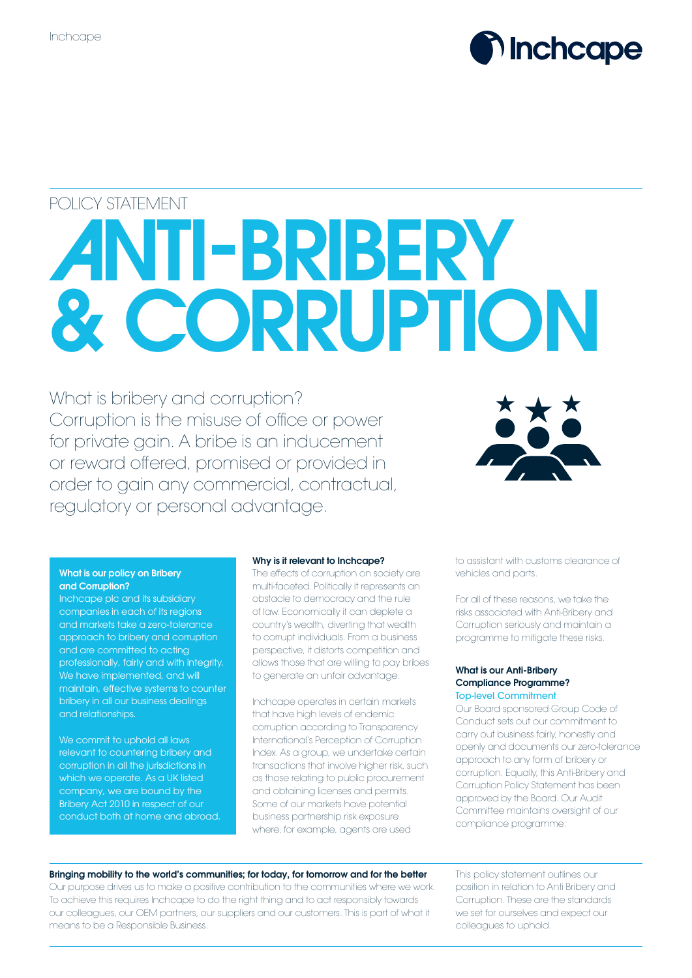

# POLICY STATEMENT

# ANTI-BRIBERY & CORRUPTION

What is bribery and corruption? Corruption is the misuse of office or power for private gain. A bribe is an inducement or reward offered, promised or provided in order to gain any commercial, contractual, regulatory or personal advantage.



# What is our policy on Bribery and Corruption?

Inchcape plc and its subsidiary companies in each of its regions and markets take a zero-tolerance approach to bribery and corruption and are committed to acting professionally, fairly and with integrity. We have implemented, and will maintain, effective systems to counter bribery in all our business dealings and relationships.

We commit to uphold all laws relevant to countering bribery and corruption in all the jurisdictions in which we operate. As a UK listed company, we are bound by the Bribery Act 2010 in respect of our conduct both at home and abroad.

# Why is it relevant to Inchcape?

The effects of corruption on society are multi-faceted. Politically it represents an obstacle to democracy and the rule of law. Economically it can deplete a country's wealth, diverting that wealth to corrupt individuals. From a business perspective, it distorts competition and allows those that are willing to pay bribes to generate an unfair advantage.

Inchcape operates in certain markets that have high levels of endemic corruption according to Transparency International's Perception of Corruption Index. As a group, we undertake certain transactions that involve higher risk, such as those relating to public procurement and obtaining licenses and permits. Some of our markets have potential business partnership risk exposure where, for example, agents are used

to assistant with customs clearance of vehicles and parts.

For all of these reasons, we take the risks associated with Anti-Bribery and Corruption seriously and maintain a programme to mitigate these risks.

# What is our Anti-Bribery Compliance Programme? Top-level Commitment

Our Board sponsored Group Code of Conduct sets out our commitment to carry out business fairly, honestly and openly and documents our zero-tolerance approach to any form of bribery or corruption. Equally, this Anti-Bribery and Corruption Policy Statement has been approved by the Board. Our Audit Committee maintains oversight of our compliance programme.

# Bringing mobility to the world's communities; for today, for tomorrow and for the better

Our purpose drives us to make a positive contribution to the communities where we work. To achieve this requires Inchcape to do the right thing and to act responsibly towards our colleagues, our OEM partners, our suppliers and our customers. This is part of what it means to be a Responsible Business.

This policy statement outlines our position in relation to Anti Bribery and Corruption. These are the standards we set for ourselves and expect our colleagues to uphold.